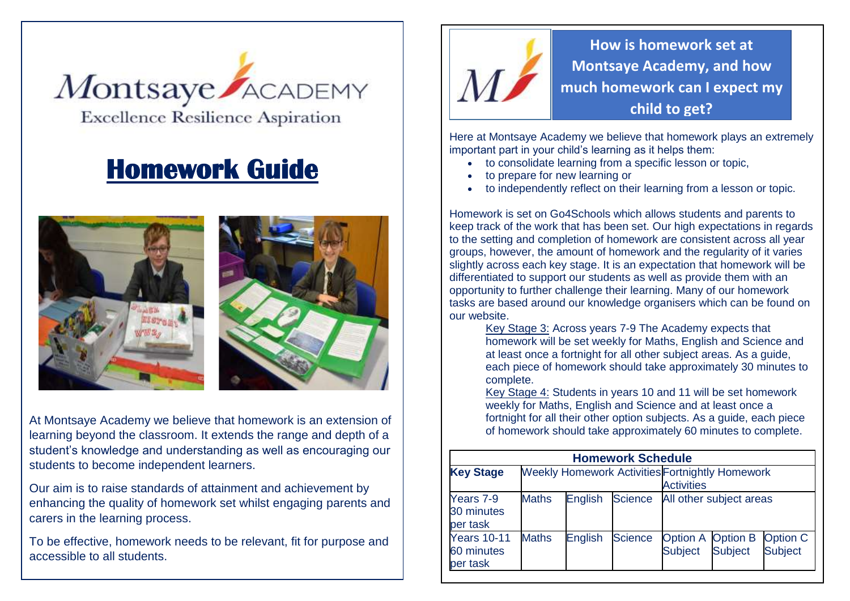

## **Homework Guide**





At Montsaye Academy we believe that homework is an extension of learning beyond the classroom. It extends the range and depth of a student's knowledge and understanding as well as encouraging our students to become independent learners.

Our aim is to raise standards of attainment and achievement by enhancing the quality of homework set whilst engaging parents and carers in the learning process.

To be effective, homework needs to be relevant, fit for purpose and accessible to all students.



**How is homework set at Montsaye Academy, and how much homework can I expect my child to get?**

Here at Montsaye Academy we believe that homework plays an extremely important part in your child's learning as it helps them:

- to consolidate learning from a specific lesson or topic,
- to prepare for new learning or
- to independently reflect on their learning from a lesson or topic.

Homework is set on Go4Schools which allows students and parents to keep track of the work that has been set. Our high expectations in regards to the setting and completion of homework are consistent across all year groups, however, the amount of homework and the regularity of it varies slightly across each key stage. It is an expectation that homework will be differentiated to support our students as well as provide them with an opportunity to further challenge their learning. Many of our homework tasks are based around our knowledge organisers which can be found on our website.

Key Stage 3: Across years 7-9 The Academy expects that homework will be set weekly for Maths, English and Science and at least once a fortnight for all other subject areas. As a guide, each piece of homework should take approximately 30 minutes to complete.

Key Stage 4: Students in years 10 and 11 will be set homework weekly for Maths, English and Science and at least once a fortnight for all their other option subjects. As a guide, each piece of homework should take approximately 60 minutes to complete.

| <b>Homework Schedule</b>                     |                                                                             |                |                |                                     |                |                                   |
|----------------------------------------------|-----------------------------------------------------------------------------|----------------|----------------|-------------------------------------|----------------|-----------------------------------|
| <b>Key Stage</b>                             | <b>Weekly Homework Activities Fortnightly Homework</b><br><b>Activities</b> |                |                |                                     |                |                                   |
| Years 7-9<br>30 minutes<br>per task          | <b>Maths</b>                                                                | <b>English</b> | <b>Science</b> | All other subject areas             |                |                                   |
| <b>Years 10-11</b><br>60 minutes<br>per task | <b>Maths</b>                                                                | <b>English</b> | <b>Science</b> | Option A Option B<br><b>Subject</b> | <b>Subject</b> | <b>Option C</b><br><b>Subject</b> |